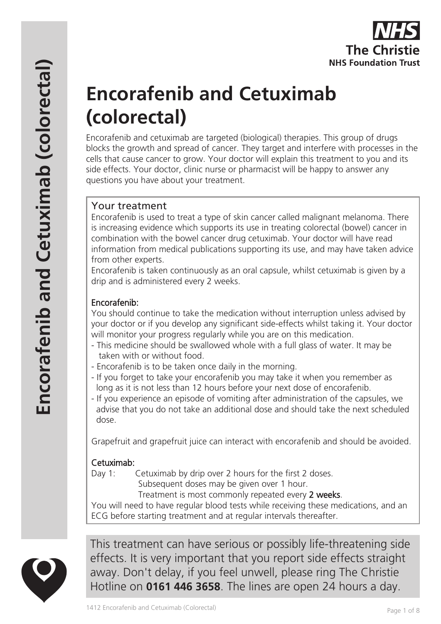

# **Encorafenib and Cetuximab (colorectal)**

Encorafenib and cetuximab are targeted (biological) therapies. This group of drugs blocks the growth and spread of cancer. They target and interfere with processes in the cells that cause cancer to grow. Your doctor will explain this treatment to you and its side effects. Your doctor, clinic nurse or pharmacist will be happy to answer any questions you have about your treatment.

# Your treatment

Encorafenib is used to treat a type of skin cancer called malignant melanoma. There is increasing evidence which supports its use in treating colorectal (bowel) cancer in combination with the bowel cancer drug cetuximab. Your doctor will have read information from medical publications supporting its use, and may have taken advice from other experts.

Encorafenib is taken continuously as an oral capsule, whilst cetuximab is given by a drip and is administered every 2 weeks.

#### Encorafenib:

You should continue to take the medication without interruption unless advised by your doctor or if you develop any significant side-effects whilst taking it. Your doctor will monitor your progress regularly while you are on this medication.

- This medicine should be swallowed whole with a full glass of water. It may be taken with or without food.
- Encorafenib is to be taken once daily in the morning.
- If you forget to take your encorafenib you may take it when you remember as long as it is not less than 12 hours before your next dose of encorafenib.
- If you experience an episode of vomiting after administration of the capsules, we advise that you do not take an additional dose and should take the next scheduled dose.

Grapefruit and grapefruit juice can interact with encorafenib and should be avoided.

## Cetuximab:

Day 1: Cetuximab by drip over 2 hours for the first 2 doses.

Subsequent doses may be given over 1 hour.

Treatment is most commonly repeated every 2 weeks.

You will need to have regular blood tests while receiving these medications, and an ECG before starting treatment and at regular intervals thereafter.



This treatment can have serious or possibly life-threatening side effects. It is very important that you report side effects straight away. Don't delay, if you feel unwell, please ring The Christie Hotline on **0161 446 3658**. The lines are open 24 hours a day.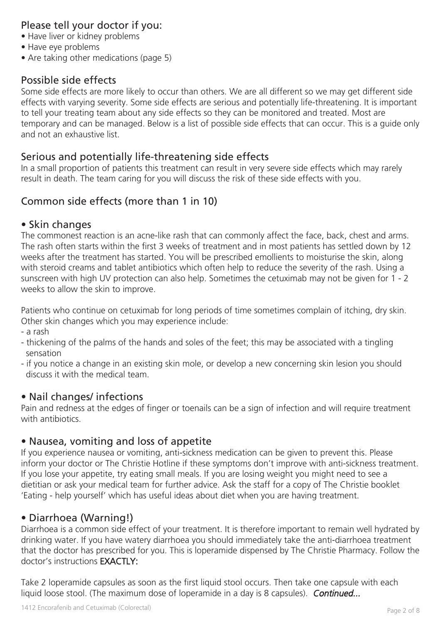## Please tell your doctor if you:

- Have liver or kidney problems
- Have eye problems
- Are taking other medications (page 5)

#### Possible side effects

Some side effects are more likely to occur than others. We are all different so we may get different side effects with varying severity. Some side effects are serious and potentially life-threatening. It is important to tell your treating team about any side effects so they can be monitored and treated. Most are temporary and can be managed. Below is a list of possible side effects that can occur. This is a guide only and not an exhaustive list.

#### Serious and potentially life-threatening side effects

In a small proportion of patients this treatment can result in very severe side effects which may rarely result in death. The team caring for you will discuss the risk of these side effects with you.

## Common side effects (more than 1 in 10)

#### • Skin changes

The commonest reaction is an acne-like rash that can commonly affect the face, back, chest and arms. The rash often starts within the first 3 weeks of treatment and in most patients has settled down by 12 weeks after the treatment has started. You will be prescribed emollients to moisturise the skin, along with steroid creams and tablet antibiotics which often help to reduce the severity of the rash. Using a sunscreen with high UV protection can also help. Sometimes the cetuximab may not be given for 1 - 2 weeks to allow the skin to improve.

Patients who continue on cetuximab for long periods of time sometimes complain of itching, dry skin. Other skin changes which you may experience include:

- a rash
- thickening of the palms of the hands and soles of the feet; this may be associated with a tingling sensation
- if you notice a change in an existing skin mole, or develop a new concerning skin lesion you should discuss it with the medical team.

## • Nail changes/ infections

Pain and redness at the edges of finger or toenails can be a sign of infection and will require treatment with antibiotics.

#### • Nausea, vomiting and loss of appetite

If you experience nausea or vomiting, anti-sickness medication can be given to prevent this. Please inform your doctor or The Christie Hotline if these symptoms don't improve with anti-sickness treatment. If you lose your appetite, try eating small meals. If you are losing weight you might need to see a dietitian or ask your medical team for further advice. Ask the staff for a copy of The Christie booklet 'Eating - help yourself' which has useful ideas about diet when you are having treatment.

## • Diarrhoea (Warning!)

Diarrhoea is a common side effect of your treatment. It is therefore important to remain well hydrated by drinking water. If you have watery diarrhoea you should immediately take the anti-diarrhoea treatment that the doctor has prescribed for you. This is loperamide dispensed by The Christie Pharmacy. Follow the doctor's instructions EXACTLY:

Take 2 loperamide capsules as soon as the first liquid stool occurs. Then take one capsule with each liquid loose stool. (The maximum dose of loperamide in a day is 8 capsules). Continued...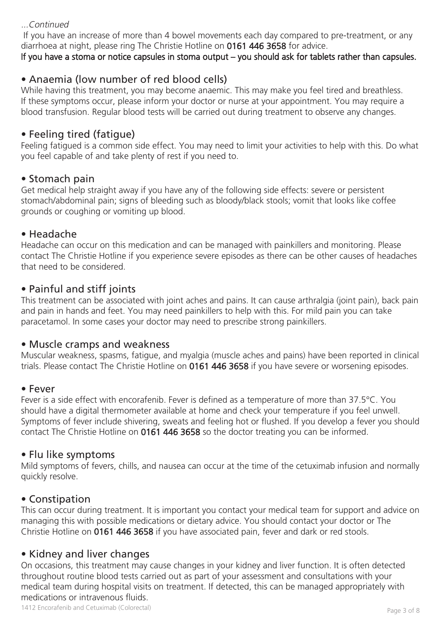#### ...Continued

 If you have an increase of more than 4 bowel movements each day compared to pre-treatment, or any diarrhoea at night, please ring The Christie Hotline on 0161 446 3658 for advice.

If you have a stoma or notice capsules in stoma output – you should ask for tablets rather than capsules.

## • Anaemia (low number of red blood cells)

While having this treatment, you may become anaemic. This may make you feel tired and breathless. If these symptoms occur, please inform your doctor or nurse at your appointment. You may require a blood transfusion. Regular blood tests will be carried out during treatment to observe any changes.

## • Feeling tired (fatigue)

Feeling fatigued is a common side effect. You may need to limit your activities to help with this. Do what you feel capable of and take plenty of rest if you need to.

## • Stomach pain

Get medical help straight away if you have any of the following side effects: severe or persistent stomach/abdominal pain; signs of bleeding such as bloody/black stools; vomit that looks like coffee grounds or coughing or vomiting up blood.

#### • Headache

Headache can occur on this medication and can be managed with painkillers and monitoring. Please contact The Christie Hotline if you experience severe episodes as there can be other causes of headaches that need to be considered.

#### • Painful and stiff joints

This treatment can be associated with joint aches and pains. It can cause arthralgia (joint pain), back pain and pain in hands and feet. You may need painkillers to help with this. For mild pain you can take paracetamol. In some cases your doctor may need to prescribe strong painkillers.

#### • Muscle cramps and weakness

Muscular weakness, spasms, fatigue, and myalgia (muscle aches and pains) have been reported in clinical trials. Please contact The Christie Hotline on 0161 446 3658 if you have severe or worsening episodes.

#### • Fever

Fever is a side effect with encorafenib. Fever is defined as a temperature of more than 37.5°C. You should have a digital thermometer available at home and check your temperature if you feel unwell. Symptoms of fever include shivering, sweats and feeling hot or flushed. If you develop a fever you should contact The Christie Hotline on 0161 446 3658 so the doctor treating you can be informed.

#### • Flu like symptoms

Mild symptoms of fevers, chills, and nausea can occur at the time of the cetuximab infusion and normally quickly resolve.

## • Constipation

This can occur during treatment. It is important you contact your medical team for support and advice on managing this with possible medications or dietary advice. You should contact your doctor or The Christie Hotline on 0161 446 3658 if you have associated pain, fever and dark or red stools.

## • Kidney and liver changes

On occasions, this treatment may cause changes in your kidney and liver function. It is often detected throughout routine blood tests carried out as part of your assessment and consultations with your medical team during hospital visits on treatment. If detected, this can be managed appropriately with medications or intravenous fluids.

1412 Encorafenib and Cetuximab (Colorectal) Page 3 of 8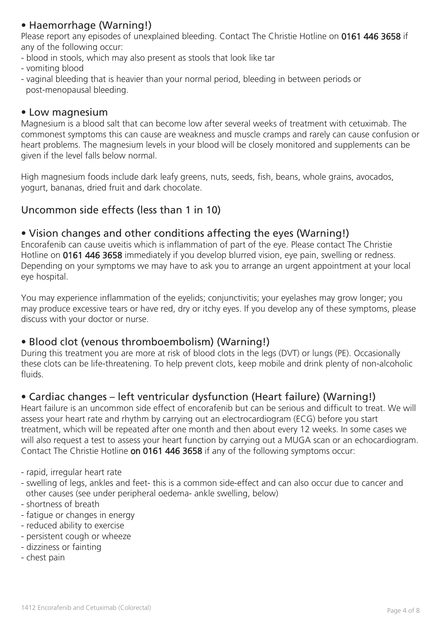# • Haemorrhage (Warning!)

Please report any episodes of unexplained bleeding. Contact The Christie Hotline on 0161 446 3658 if any of the following occur:

- blood in stools, which may also present as stools that look like tar
- vomiting blood
- vaginal bleeding that is heavier than your normal period, bleeding in between periods or post-menopausal bleeding.

#### • Low magnesium

Magnesium is a blood salt that can become low after several weeks of treatment with cetuximab. The commonest symptoms this can cause are weakness and muscle cramps and rarely can cause confusion or heart problems. The magnesium levels in your blood will be closely monitored and supplements can be given if the level falls below normal.

High magnesium foods include dark leafy greens, nuts, seeds, fish, beans, whole grains, avocados, yogurt, bananas, dried fruit and dark chocolate.

## Uncommon side effects (less than 1 in 10)

#### • Vision changes and other conditions affecting the eyes (Warning!)

Encorafenib can cause uveitis which is inflammation of part of the eye. Please contact The Christie Hotline on 0161 446 3658 immediately if you develop blurred vision, eye pain, swelling or redness. Depending on your symptoms we may have to ask you to arrange an urgent appointment at your local eye hospital.

You may experience inflammation of the eyelids; conjunctivitis; your eyelashes may grow longer; you may produce excessive tears or have red, dry or itchy eyes. If you develop any of these symptoms, please discuss with your doctor or nurse.

## • Blood clot (venous thromboembolism) (Warning!)

During this treatment you are more at risk of blood clots in the legs (DVT) or lungs (PE). Occasionally these clots can be life-threatening. To help prevent clots, keep mobile and drink plenty of non-alcoholic fluids.

## • Cardiac changes – left ventricular dysfunction (Heart failure) (Warning!)

Heart failure is an uncommon side effect of encorafenib but can be serious and difficult to treat. We will assess your heart rate and rhythm by carrying out an electrocardiogram (ECG) before you start treatment, which will be repeated after one month and then about every 12 weeks. In some cases we will also request a test to assess your heart function by carrying out a MUGA scan or an echocardiogram. Contact The Christie Hotline on 0161 446 3658 if any of the following symptoms occur:

- rapid, irregular heart rate
- swelling of legs, ankles and feet- this is a common side-effect and can also occur due to cancer and other causes (see under peripheral oedema- ankle swelling, below)
- shortness of breath
- fatigue or changes in energy
- reduced ability to exercise
- persistent cough or wheeze
- dizziness or fainting
- chest pain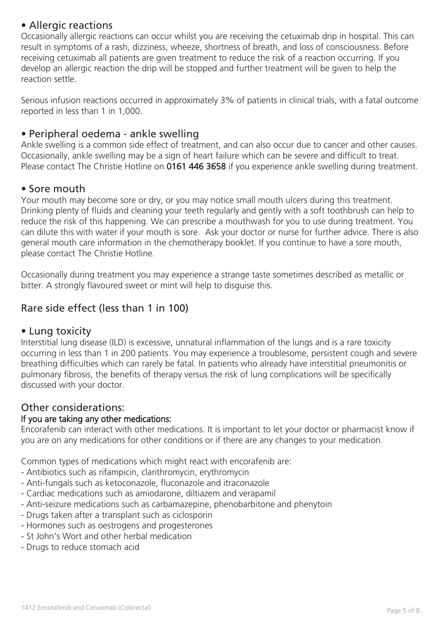## • Allergic reactions

Occasionally allergic reactions can occur whilst you are receiving the cetuximab drip in hospital. This can result in symptoms of a rash, dizziness, wheeze, shortness of breath, and loss of consciousness. Before receiving cetuximab all patients are given treatment to reduce the risk of a reaction occurring. If you develop an allergic reaction the drip will be stopped and further treatment will be given to help the reaction settle.

Serious infusion reactions occurred in approximately 3% of patients in clinical trials, with a fatal outcome reported in less than 1 in 1,000.

#### • Peripheral oedema - ankle swelling

Ankle swelling is a common side effect of treatment, and can also occur due to cancer and other causes. Occasionally, ankle swelling may be a sign of heart failure which can be severe and difficult to treat. Please contact The Christie Hotline on 0161 446 3658 if you experience ankle swelling during treatment.

#### • Sore mouth

Your mouth may become sore or dry, or you may notice small mouth ulcers during this treatment. Drinking plenty of fluids and cleaning your teeth regularly and gently with a soft toothbrush can help to reduce the risk of this happening. We can prescribe a mouthwash for you to use during treatment. You can dilute this with water if your mouth is sore. Ask your doctor or nurse for further advice. There is also general mouth care information in the chemotherapy booklet. If you continue to have a sore mouth, please contact The Christie Hotline.

Occasionally during treatment you may experience a strange taste sometimes described as metallic or bitter. A strongly flavoured sweet or mint will help to disguise this.

# Rare side effect (less than 1 in 100)

#### • Lung toxicity

Interstitial lung disease (ILD) is excessive, unnatural inflammation of the lungs and is a rare toxicity occurring in less than 1 in 200 patients. You may experience a troublesome, persistent cough and severe breathing difficulties which can rarely be fatal. In patients who already have interstitial pneumonitis or pulmonary fibrosis, the benefits of therapy versus the risk of lung complications will be specifically discussed with your doctor.

## Other considerations:

#### If you are taking any other medications:

Encorafenib can interact with other medications. It is important to let your doctor or pharmacist know if you are on any medications for other conditions or if there are any changes to your medication.

Common types of medications which might react with encorafenib are:

- Antibiotics such as rifampicin, clarithromycin, erythromycin
- Anti-fungals such as ketoconazole, fluconazole and itraconazole
- Cardiac medications such as amiodarone, diltiazem and verapamil
- Anti-seizure medications such as carbamazepine, phenobarbitone and phenytoin
- Drugs taken after a transplant such as ciclosporin
- Hormones such as oestrogens and progesterones
- St John's Wort and other herbal medication
- Drugs to reduce stomach acid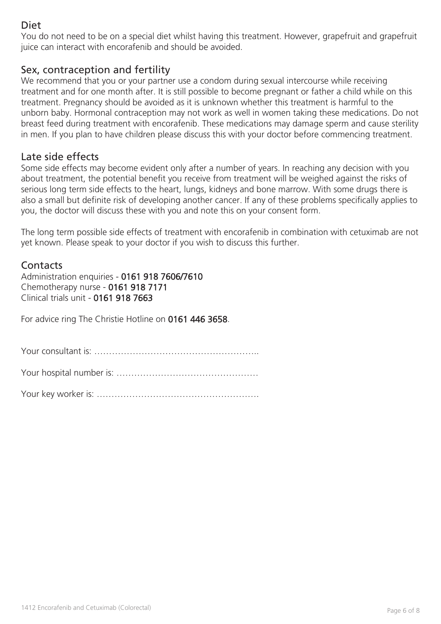# Diet

You do not need to be on a special diet whilst having this treatment. However, grapefruit and grapefruit juice can interact with encorafenib and should be avoided.

#### Sex, contraception and fertility

We recommend that you or your partner use a condom during sexual intercourse while receiving treatment and for one month after. It is still possible to become pregnant or father a child while on this treatment. Pregnancy should be avoided as it is unknown whether this treatment is harmful to the unborn baby. Hormonal contraception may not work as well in women taking these medications. Do not breast feed during treatment with encorafenib. These medications may damage sperm and cause sterility in men. If you plan to have children please discuss this with your doctor before commencing treatment.

#### Late side effects

Some side effects may become evident only after a number of years. In reaching any decision with you about treatment, the potential benefit you receive from treatment will be weighed against the risks of serious long term side effects to the heart, lungs, kidneys and bone marrow. With some drugs there is also a small but definite risk of developing another cancer. If any of these problems specifically applies to you, the doctor will discuss these with you and note this on your consent form.

The long term possible side effects of treatment with encorafenib in combination with cetuximab are not yet known. Please speak to your doctor if you wish to discuss this further.

#### **Contacts**

Administration enquiries - 0161 918 7606/7610 Chemotherapy nurse - 0161 918 7171 Clinical trials unit - 0161 918 7663

For advice ring The Christie Hotline on 0161 446 3658.

Your consultant is: ………………………………………………..

Your hospital number is: …………………………………………

Your key worker is: ……………………………………………….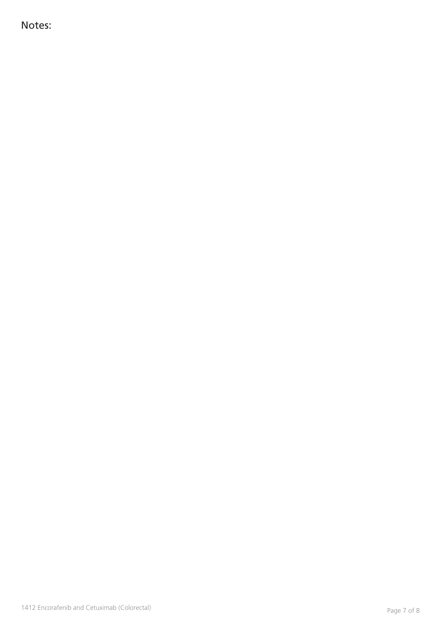Notes: